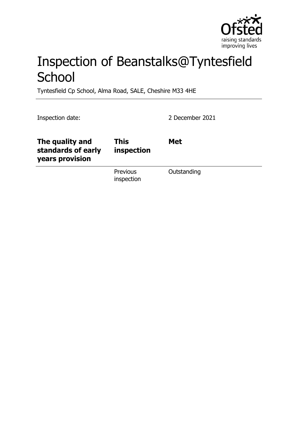

# Inspection of Beanstalks@Tyntesfield **School**

Tyntesfield Cp School, Alma Road, SALE, Cheshire M33 4HE

Inspection date: 2 December 2021

| The quality and<br>standards of early<br>years provision | <b>This</b><br>inspection     | <b>Met</b>  |
|----------------------------------------------------------|-------------------------------|-------------|
|                                                          | <b>Previous</b><br>inspection | Outstanding |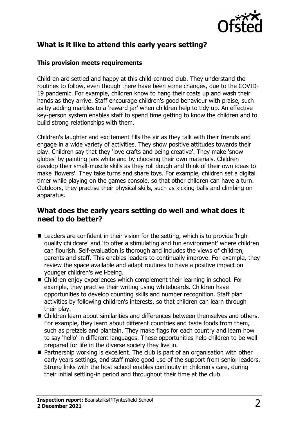

# **What is it like to attend this early years setting?**

#### **This provision meets requirements**

Children are settled and happy at this child-centred club. They understand the routines to follow, even though there have been some changes, due to the COVID-19 pandemic. For example, children know to hang their coats up and wash their hands as they arrive. Staff encourage children's good behaviour with praise, such as by adding marbles to a 'reward jar' when children help to tidy up. An effective key-person system enables staff to spend time getting to know the children and to build strong relationships with them.

Children's laughter and excitement fills the air as they talk with their friends and engage in a wide variety of activities. They show positive attitudes towards their play. Children say that they 'love crafts and being creative'. They make 'snow globes' by painting jars white and by choosing their own materials. Children develop their small-muscle skills as they roll dough and think of their own ideas to make 'flowers'. They take turns and share toys. For example, children set a digital timer while playing on the games console, so that other children can have a turn. Outdoors, they practise their physical skills, such as kicking balls and climbing on apparatus.

## **What does the early years setting do well and what does it need to do better?**

- $\blacksquare$  Leaders are confident in their vision for the setting, which is to provide 'highquality childcare' and 'to offer a stimulating and fun environment' where children can flourish. Self-evaluation is thorough and includes the views of children, parents and staff. This enables leaders to continually improve. For example, they review the space available and adapt routines to have a positive impact on younger children's well-being.
- Children enjoy experiences which complement their learning in school. For example, they practise their writing using whiteboards. Children have opportunities to develop counting skills and number recognition. Staff plan activities by following children's interests, so that children can learn through their play.
- n Children learn about similarities and differences between themselves and others. For example, they learn about different countries and taste foods from them, such as pretzels and plantain. They make flags for each country and learn how to say 'hello' in different languages. These opportunities help children to be well prepared for life in the diverse society they live in.
- $\blacksquare$  Partnership working is excellent. The club is part of an organisation with other early years settings, and staff make good use of the support from senior leaders. Strong links with the host school enables continuity in children's care, during their initial settling-in period and throughout their time at the club.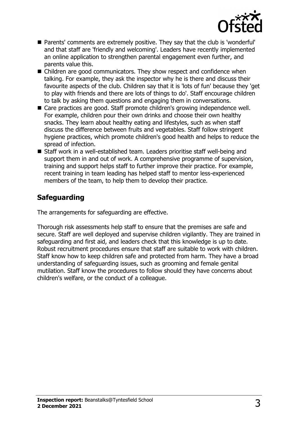

- Parents' comments are extremely positive. They say that the club is 'wonderful' and that staff are 'friendly and welcoming'. Leaders have recently implemented an online application to strengthen parental engagement even further, and parents value this.
- $\blacksquare$  Children are good communicators. They show respect and confidence when talking. For example, they ask the inspector why he is there and discuss their favourite aspects of the club. Children say that it is 'lots of fun' because they 'get to play with friends and there are lots of things to do'. Staff encourage children to talk by asking them questions and engaging them in conversations.
- Care practices are good. Staff promote children's growing independence well. For example, children pour their own drinks and choose their own healthy snacks. They learn about healthy eating and lifestyles, such as when staff discuss the difference between fruits and vegetables. Staff follow stringent hygiene practices, which promote children's good health and helps to reduce the spread of infection.
- Staff work in a well-established team. Leaders prioritise staff well-being and support them in and out of work. A comprehensive programme of supervision, training and support helps staff to further improve their practice. For example, recent training in team leading has helped staff to mentor less-experienced members of the team, to help them to develop their practice.

# **Safeguarding**

The arrangements for safeguarding are effective.

Thorough risk assessments help staff to ensure that the premises are safe and secure. Staff are well deployed and supervise children vigilantly. They are trained in safeguarding and first aid, and leaders check that this knowledge is up to date. Robust recruitment procedures ensure that staff are suitable to work with children. Staff know how to keep children safe and protected from harm. They have a broad understanding of safeguarding issues, such as grooming and female genital mutilation. Staff know the procedures to follow should they have concerns about children's welfare, or the conduct of a colleague.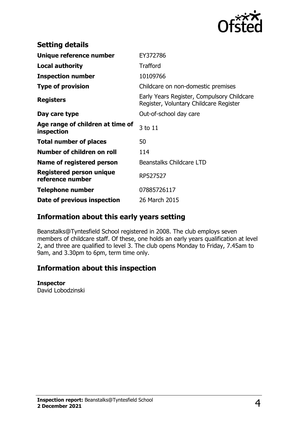

| <b>Setting details</b>                              |                                                                                      |
|-----------------------------------------------------|--------------------------------------------------------------------------------------|
| Unique reference number                             | EY372786                                                                             |
| <b>Local authority</b>                              | <b>Trafford</b>                                                                      |
| <b>Inspection number</b>                            | 10109766                                                                             |
| <b>Type of provision</b>                            | Childcare on non-domestic premises                                                   |
| <b>Registers</b>                                    | Early Years Register, Compulsory Childcare<br>Register, Voluntary Childcare Register |
| Day care type                                       | Out-of-school day care                                                               |
| Age range of children at time of<br>inspection      | 3 to 11                                                                              |
| <b>Total number of places</b>                       | 50                                                                                   |
| Number of children on roll                          | 114                                                                                  |
| Name of registered person                           | <b>Beanstalks Childcare LTD</b>                                                      |
| <b>Registered person unique</b><br>reference number | RP527527                                                                             |
| <b>Telephone number</b>                             | 07885726117                                                                          |
| Date of previous inspection                         | 26 March 2015                                                                        |

## **Information about this early years setting**

Beanstalks@Tyntesfield School registered in 2008. The club employs seven members of childcare staff. Of these, one holds an early years qualification at level 2, and three are qualified to level 3. The club opens Monday to Friday, 7.45am to 9am, and 3.30pm to 6pm, term time only.

## **Information about this inspection**

#### **Inspector**

David Lobodzinski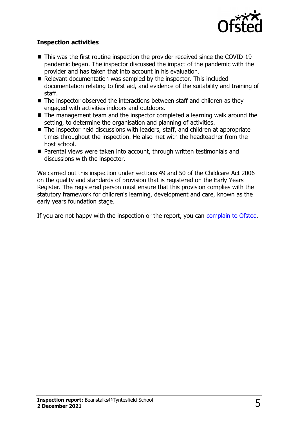

### **Inspection activities**

- $\blacksquare$  This was the first routine inspection the provider received since the COVID-19 pandemic began. The inspector discussed the impact of the pandemic with the provider and has taken that into account in his evaluation.
- $\blacksquare$  Relevant documentation was sampled by the inspector. This included documentation relating to first aid, and evidence of the suitability and training of staff.
- $\blacksquare$  The inspector observed the interactions between staff and children as they engaged with activities indoors and outdoors.
- $\blacksquare$  The management team and the inspector completed a learning walk around the setting, to determine the organisation and planning of activities.
- $\blacksquare$  The inspector held discussions with leaders, staff, and children at appropriate times throughout the inspection. He also met with the headteacher from the host school.
- Parental views were taken into account, through written testimonials and discussions with the inspector.

We carried out this inspection under sections 49 and 50 of the Childcare Act 2006 on the quality and standards of provision that is registered on the Early Years Register. The registered person must ensure that this provision complies with the statutory framework for children's learning, development and care, known as the early years foundation stage.

If you are not happy with the inspection or the report, you can [complain to Ofsted](http://www.gov.uk/complain-ofsted-report).